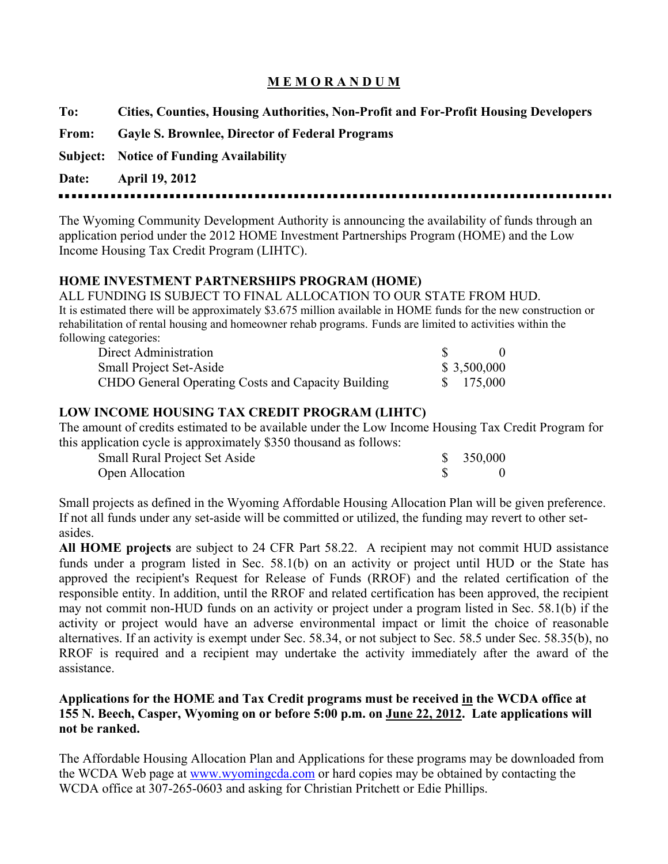# **M E M O R A N D U M**

| To: |  | Cities, Counties, Housing Authorities, Non-Profit and For-Profit Housing Developers |  |
|-----|--|-------------------------------------------------------------------------------------|--|
|     |  |                                                                                     |  |

- **From: Gayle S. Brownlee, Director of Federal Programs**
- **Subject: Notice of Funding Availability**

## **Date: April 19, 2012**

----------

The Wyoming Community Development Authority is announcing the availability of funds through an application period under the 2012 HOME Investment Partnerships Program (HOME) and the Low Income Housing Tax Credit Program (LIHTC).

### **HOME INVESTMENT PARTNERSHIPS PROGRAM (HOME)**

ALL FUNDING IS SUBJECT TO FINAL ALLOCATION TO OUR STATE FROM HUD. It is estimated there will be approximately \$3.675 million available in HOME funds for the new construction or rehabilitation of rental housing and homeowner rehab programs. Funds are limited to activities within the following categories:

| Direct Administration                              |             |
|----------------------------------------------------|-------------|
| <b>Small Project Set-Aside</b>                     | \$3,500,000 |
| CHDO General Operating Costs and Capacity Building | \$ 175,000  |

### **LOW INCOME HOUSING TAX CREDIT PROGRAM (LIHTC)**

The amount of credits estimated to be available under the Low Income Housing Tax Credit Program for this application cycle is approximately \$350 thousand as follows:

| <b>Small Rural Project Set Aside</b> | \$350,000 |
|--------------------------------------|-----------|
| Open Allocation                      |           |

Small projects as defined in the Wyoming Affordable Housing Allocation Plan will be given preference. If not all funds under any set-aside will be committed or utilized, the funding may revert to other setasides.

**All HOME projects** are subject to 24 CFR Part 58.22. A recipient may not commit HUD assistance funds under a program listed in Sec. 58.1(b) on an activity or project until HUD or the State has approved the recipient's Request for Release of Funds (RROF) and the related certification of the responsible entity. In addition, until the RROF and related certification has been approved, the recipient may not commit non-HUD funds on an activity or project under a program listed in Sec. 58.1(b) if the activity or project would have an adverse environmental impact or limit the choice of reasonable alternatives. If an activity is exempt under Sec. 58.34, or not subject to Sec. 58.5 under Sec. 58.35(b), no RROF is required and a recipient may undertake the activity immediately after the award of the assistance.

### **Applications for the HOME and Tax Credit programs must be received in the WCDA office at 155 N. Beech, Casper, Wyoming on or before 5:00 p.m. on June 22, 2012. Late applications will not be ranked.**

The Affordable Housing Allocation Plan and Applications for these programs may be downloaded from the WCDA Web page at www.wyomingcda.com or hard copies may be obtained by contacting the WCDA office at 307-265-0603 and asking for Christian Pritchett or Edie Phillips.